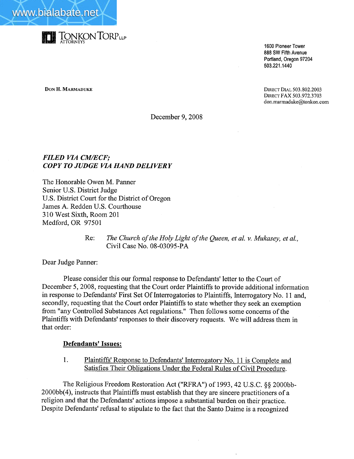



1600 Pioneer Tower 888 SW Fifth Avenue Portland, Oregon 97204 503.221.1440

**DON H. MARMADUKE** DIRECT DIAL 503.802.2003 DIRECT FAX 503.972.3703 don.marmaduke@tonkon.com

December 9, 2008

## FILED VIA CM/ECF; COPY TO JUDGE VIA HAND DELIVERY

The Honorable Owen M. Panner Senior U.S. District Judge U.S. District Court for the District of Oregon James A. Redden U.S. Courthouse 310 West Sixth, Room 201 Medford, OR 97501

> Re: The Church of the Holy Light of the Queen, et al. v. Mukasey, et al., Civil Case No. 08-03095-PA

Dear Judge Panner:

Please consider this our formal response to Defendants' letter to the Court of December 5, 2008, requesting that the Court order Plaintiffs to provide additional information in response to Defendants' First Set Of Interrogatories to Plaintiffs, Interrogatory No. 11 and, secondly, requesting that the Court order Plaintiffs to state whether they seek an exemption from "any Controlled Substances Act regulations." Then follows some concerns of the Plaintiffs with Defendants' responses to their discovery requests. We will address them in that order:

#### Defendants' Issues:

1. Plaintiffs' Response to Defendants' Interrogatory No. 11 is Complete and Satisfies Their Obligations Under the Federal Rules of Civil Procedure.

The Religious Freedom Restoration Act ("RFRA") of 1993,42 U.S.C. §§ 2000bb-2000bb( 4), instructs that Plaintiffs must establish that they are sincere practitioners of a religion and that the Defendants' actions impose a substantial burden on their practice. Despite Defendants' refusal to stipulate to the fact that the Santo Daime is a recognized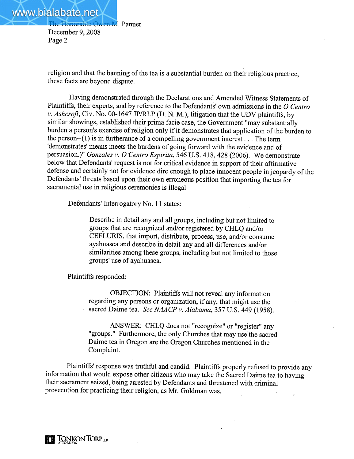religion and that the banning of the tea is a substantial burden on their religious practice, these facts are beyond dispute.

Having demonstrated through the Declarations and Amended Witness Statements of Plaintiffs, their experts, and by reference to the Defendants' own admissions in the  $O$  Centro v. Ashcroft, Civ. No. 00-1647 JP/RLP (D. N. M.), litigation that the UDV plaintiffs, by similar showings, established their prima facie case, the Governent "may substantially burden a person's exercise of religion only if it demonstrates that application of the burden to the person--(1) is in furtherance of a compelling government interest... The term 'demonstrates' means meets the burdens of going forward with the evidence and of persuasion.)" Gonzales v. O Centro Espirita, 546 U.S. 418, 428 (2006). We demonstrate below that Defendants' request is not for critical evidence in support of their affirmative defense and certainly not for evidence dire enough to place innocent people in jeopardy of the Defendants' threats based upon their own erroneous position that importing the tea for sacramental use in religious ceremonies is ilegaL.

Defendants' Interrogatory No. 11 states:

Describe in detail any and all groups, including but not limited to groups that are recognized and/or registered by CHLQ and/or CEFLURIS, that import, distribute, process, use, and/or consume ayahuasca and describe in detail any and all differences and/or similarities among these groups, including but not limited to those groups' use of ayahuasca.

Plaintiffs responded:

OBJECTION: Plaintiffs will not reveal any information regarding any persons or organization, if any, that might use the sacred Daime tea. See NAACP v. Alabama, 357 U.S. 449 (1958).

ANSWER: CHLQ does not "recognize" or "register" any "groups." Furthermore, the only Churches that may use the sacred Daime tea in Oregon are the Oregon Churches mentioned in the Complaint.

Plaintiffs' response was truthful and candid. Plaintiffs properly refused to provide any information that would expose other citizens who may take the Sacred Daime tea to having their sacrament seized, being arrested by Defendants and threatened with criminal prosecution for practicing their religion, as Mr. Goldman was. Ŷ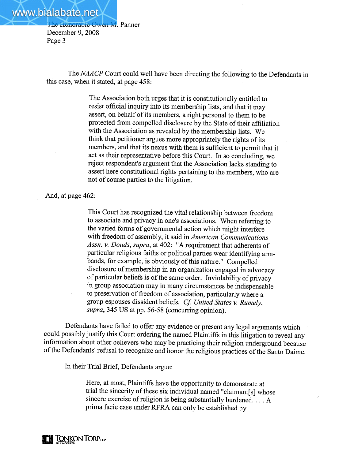The NAACP Court could well have been directing the following to the Defendants in this case, when it stated, at page 458:

> The Association both urges that it is constitutionally entitled to resist official inquiry into its membership lists, and that it may assert, on behalf of its members, a right personal to them to be protected from compelled disclosure by the State of their affiliation with the Association as revealed by the membership lists. We think that petitioner argues more appropriately the rights of its members, and that its nexus with them is sufficient to permit that it act as their representative before this Cour. In so concluding, we reject respondent's argument that the Association lacks standing to assert here constitutional rights pertaining to the members, who are not of course parties to the litigation.

And, at page 462:

This Court has recognized the vital relationship between freedom to associate and privacy in one's associations. When referring to the varied forms of governmental action which might interfere with freedom of assembly, it said in American Communications Assn. v. Douds, supra, at 402: "A requirement that adherents of particular religious faiths or political parties wear identifying armbands, for example, is obviously of this nature." Compelled disclosure of membership in an organization engaged in advocacy of particular beliefs is of the same order. Inviolability of privacy in group association may in many circumstances be indispensable to preservation of freedom of association, particularly where a group espouses dissident beliefs. Cf. United States v. Rumely,  $supra$ , 345 US at pp. 56-58 (concurring opinion).

Defendants have failed to offer any evidence or present any legal arguments which could possibly justify this Court ordering the named Plaintiffs in this litigation to reveal any information about other believers who may be practicing their religion underground because ofthe Defendants' refusal to recognize and honor the religious practices of the Santo Daime.

In their Trial Brief, Defendants argue:

Here, at most, Plaintiffs have the opportunity to demonstrate at trial the sincerity of these six individual named "claimant[s] whose sincere exercise of religion is being substantially burdened. . . . A prima facie case under RFRA can only be established by

**DE TONKON TORPLE**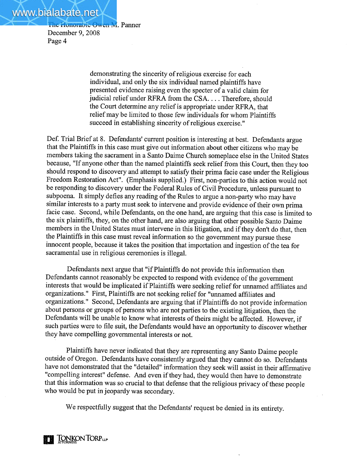www.bialabate.net

Page 4

The Honorable Owen M. Panner December 9, 2008

> demonstrating the sincerity of religious exercise for each individual, and only the six individual named plaintiffs have presented evidence raising even the specter of a valid claim for judicial relief under RFRA from the CSA. . . . Therefore, should the Court determine any relief is appropriate under RFRA, that relief may be limited to those few individuals for whom Plaintiffs succeed in establishing sincerity of religious exercise."

Def. Trial Brief at 8. Defendants' current position is interesting at best. Defendants argue that the Plaintiffs in this case must give out information about other citizens who may be members taking the sacrament in a Santo Daime Church someplace else in the United States because, "If anyone other than the named plaintiffs seek relief from this Court, then they too should respond to discovery and attempt to satisfy their prima facie case under the Religious Freedom Restoration Act". (Emphasis supplied.) First, non-parties to this action would not be responding to discovery under the Federal Rules of Civil Procedure, unless pursuant to subpoena. It simply defies any reading of the Rules to argue a non-party who may have similar interests to a party must seek to intervene and provide evidence of their own prima facie case. Second, while Defendants, on the one hand, are arguing that this case is limited to the six plaintiffs, they, on the other hand, are also arguing that other possible Santo Daime members in the United States must intervene in this litigation, and if they don't do that, then the Plaintiffs in this case must reveal information so the government may pursue these innocent people, because it takes the position that importation and ingestion of the tea for sacramental use in religious ceremonies is illegal.

Defendants next argue that "if Plaintiffs do not provide this information then Defendants cannot reasonably be expected to respond with evidence of the government interests that would be implicated if Plaintiffs were seeking relief for unnamed affiliates and organizations." First, Plaintiffs are not seeking relief for "unnamed affiliates and organizations." Second, Defendants are arguing that if Plaintiffs do not provide information about persons or groups of persons who are not parties to the existing litigation, then the Defendants will be unable to know what interests of theirs might be affected. However, if such parties were to file suit, the Defendants would have an opportunity to discover whether they have compelling governmental interests or not.

Plaintiffs have never indicated that they are representing any Santo Daime people outside of Oregon. Defendants have consistently argued that they cannot do so. Defendants have not demonstrated that the "detailed" information they seek will assist in their affirmative "compelling interest" defense. And even if they had, they would then have to demonstrate that this information was so crucial to that defense that the religious privacy of these people who would be put in jeopardy was secondary.

We respectfully suggest that the Defendants' request be denied in its entirety.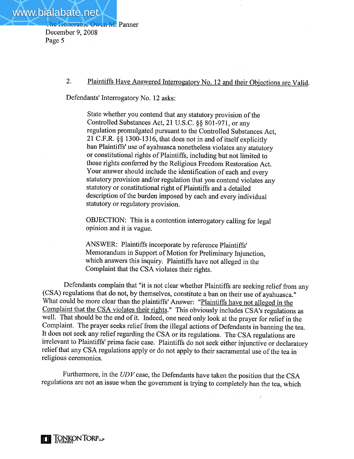# 2. Plaintiffs Have Answered Interrogatory No. 12 and their Objections are Valid.

Defendants' Interrogatory No. 12 asks:

State whether you contend that any statutory provision of the Controlled Substances Act, 21 U.S.c. §§ 801-971, or any regulation promulgated pursuant to the Controlled Substances Act, 21 C.F.R. § § 1300-1316, that does not in and of itself explicitly ban Plaintiffs' use of ayahuasca nonetheless violates any statutory or constitutional rights of Plaintiffs, including but not limited to those rights conferred by the Religious Freedom Restoration Act. Your answer should include the identification of each and every statutory provision and/or regulation that you contend violates any statutory or constitutional right of Plaintiffs and a detailed description of the burden imposed by each and every individual statutory or regulatory provision.

OBJECTION: This is a contention interrogatory calling for legal opinion and it is vague.

ANSWER: Plaintiffs incorporate by reference Plaintiffs' Memorandum in Support of Motion for Preliminary Inunction, which answers this inquiry. Plaintiffs have not alleged in the Complaint that the CSA violates their rights.

Defendants complain that "it is not clear whether Plaintiffs are seeking relief from any (CSA) regulations that do not, by themselves, constitute a ban on their use of ayahuasca." What could be more clear than the plaintiffs' Answer: "Plaintiffs have not alleged in the Complaint that the CSA violates their rights." This obviously includes CSA's regulations as well. That should be the end of it. Indeed, one need only look at the prayer for relief in the Complaint. The prayer seeks relief from the ilegal actions of Defendants in banning the tea. It does not seek any relief regarding the CSA or its regulations. The CSA regulations are irrelevant to Plaintiffs' prima facie case. Plaintiffs do not seek either injunctive or declaratory relief that any CSA regulations apply or do not apply to their sacramental use of the tea in religious ceremonies.

Furthermore, in the  $UDV$  case, the Defendants have taken the position that the CSA regulations are not an issue when the government is trying to completely ban the tea, which

 $\lambda$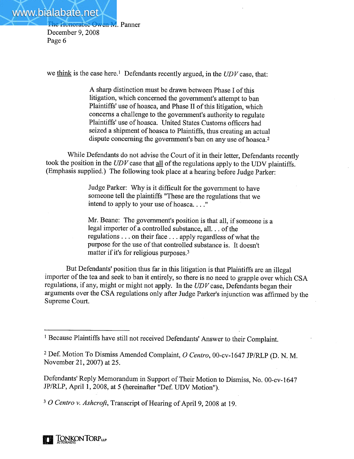we think is the case here.<sup>1</sup> Defendants recently argued, in the  $UDV$  case, that:

A sharp distinction must be drawn between Phase I of this litigation, which concerned the government's attempt to ban Plaintiffs' use of hoasca, and Phase II of this litigation, which concerns a challenge to the governent's authority to regulate Plaintiffs' use of hoasca. United States Customs officers had seized a shipment of hoasca to Plaintiffs, thus creating an actual dispute concerning the government's ban on any use of hoasca.<sup>2</sup>

While Defendants do not advise the Court of it in their letter, Defendants recently took the position in the  $UDV$  case that  $all$  of the regulations apply to the UDV plaintiffs. (Emphasis supplied.) The following took place at a hearing before Judge Parker:

> Judge Parker: Why is it difficult for the government to have someone tell the plaintiffs "These are the regulations that we intend to apply to your use of hoasca...."

Mr. Beane: The government's position is that all, if someone is a legal importer of a controlled substance, all. . . of the regulations. . . on their face. . . apply regardless of what the purpose for the use of that controlled substance is. It doesn't matter if it's for religious purposes.3

But Defendants' position thus far in this litigation is that Plaintiffs are an illegal importer of the tea and seek to ban it entirely, so there is no need to grapple over which CSA regulations, if any, might or might not apply. In the  $UDV$  case, Defendants began their arguments over the CSA regulations only after Judge Parker's injunction was affirmed by the Supreme Court.

<sup>3</sup> O Centro v. Ashcroft, Transcript of Hearing of April 9, 2008 at 19.

<sup>&</sup>lt;sup>1</sup> Because Plaintiffs have still not received Defendants' Answer to their Complaint.

<sup>&</sup>lt;sup>2</sup> Def. Motion To Dismiss Amended Complaint, O Centro, 00-cv-1647 JP/RLP (D. N. M. November 21,2007) at 25.

Defendants' Reply Memorandum in Support of Their Motion to Dismiss, No. 00-cv-1647 JP/RLP, April 1, 2008, at 5 (hereinafter "Def. UDV Motion").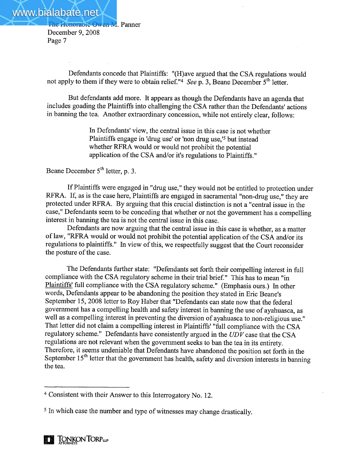Defendants concede that Plaintiffs: "(H)ave argued that the CSA regulations would not apply to them if they were to obtain relief."4 See p. 3, Beane December  $5<sup>th</sup>$  letter.

But defendants add more. It appears as though the Defendants have an agenda that includes goading the Plaintiffs into challenging the CSA rather than the Defendants' actions in banning the tea. Another extraordinary concession, while not entirely clear, follows:

> In Defendants' view, the central issue in this case is not whether Plaintiffs engage in 'drug use' or 'non drug use,'<sup>5</sup> but instead whether RFRA would or would not prohibit the potential application of the CSA and/or it's regulations to Plaintiffs."

Beane December  $5<sup>th</sup>$  letter, p. 3.

If Plaintiffs were engaged in "drug use," they would not be entitled to protection under RFRA. If, as is the case here, Plaintiffs are engaged in sacramental "non-drug use," they are protected under RFRA. By arguing that this crucial distinction is not a "central issue in the case," Defendants seem to be conceding that whether or not the government has a compelling interest in banning the tea is not the central issue in this case.

Defendants are how arguing that the central issue in this case is whether, as a matter of law, "RFRA would or would not prohibit the potential application of the CSA and/or its regulations to plaintiffs." In view of this, we respectfully suggest that the Court reconsider the posture of the case.

The Defendants further state: "Defendants set forth their compelling interest in full compliance with the CSA regulatory scheme in their trial brief." This has to mean "in Plaintiffs' full compliance with the CSA regulatory scheme." (Emphasis ours.) In other words, Defendants appear to be abandoning the position they stated in Eric Beane's September 15, 2008 letter to Roy Haber that "Defendants can state now that the federal governent has a compelling health and safety interest in baning the use of ayahuasca, as well as a compelling interest in preventing the diversion of ayahuasca to non-religious use." That letter did not claim a compelling interest in Plaintiffs' "full compliance with the CSA regulatory scheme." Defendants have consistently argued in the  $UDV$  case that the CSA regulations are not relevant when the government seeks to ban the tea in its entirety. Therefore, it seems undeniable that Defendants have abandoned the position set forth in the September  $15<sup>th</sup>$  letter that the government has health, safety and diversion interests in banning the tea.

<sup>4</sup> Consistent with their Answer to this Interrogatory No. 12.

<sup>5</sup> In which case the number and type of witnesses may change drastically.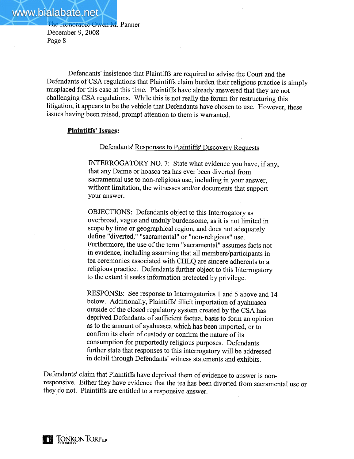Defendants' insistence that Plaintiffs are required to advise the Court and the Defendants of CSA regulations that Plaintiffs claim burden their religious practice is simply misplaced for this case at this time. Plaintiffs have already answered that they are not challenging CSA regulations. While this is not really the forum for restructuring this litigation, it appears to be the vehicle that Defendants have chosen to use. However, these issues having been raised, prompt attention to them is warranted.

### Plaintiffs' Issues:

Defendants' Responses to Plaintiffs' Discovery Requests

INTERROGATORY NO.7: State what evidence you have, if any, that any Daime or hoasca tea has ever been diverted from sacramental use to non-religious use, including in your answer, without limitation, the witnesses and/or documents that support your answer.

OBJECTIONS: Defendants object to this Interrogatory as overbroad, vague and unduly burdensome, as it is not limited in scope by time or geographical region, and does not adequately define "diverted," "sacramental" or "non-religious" use. Furthermore, the use of the term "sacramental" assumes facts not in evidence, including assuming that all members/participants in tea ceremonies associated with CHLQ are sincere adherents to a religious practice. Defendants further object to this Interrogatory to the extent it seeks information protected by privilege.

RESPONSE: See response to Interrogatories 1 and 5 above and 14 below. Additionally, Plaintiffs' ilicit importation of ayahuasca outside of the closed regulatory system created by the CSA has deprived Defendants of sufficient factual basis to form an opinion as to the amount of ayahuasca which has been imported, or to confirm its chain of custody or confirm the nature of íts consumption for purportedly religious purposes. Defendants further state that responses to this interrogatory will be addressed in detail through Defendants' witness statements and exhibits.

Defendants' claim that Plaintiffs have deprived them of evidence to answer is nonresponsive. Either they have evidence that the tea has been diverted from sacramental use or they do not. Plaintiffs are entitled to a responsive answer.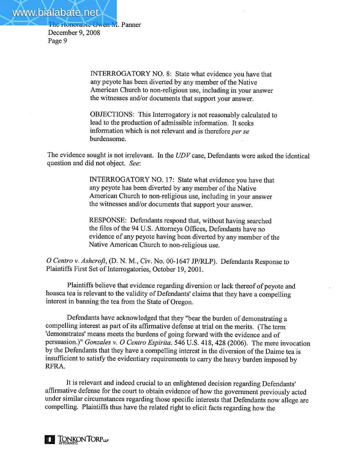The Honorable Owen M. Panner

December 9, 2008 Page 9

> INTERROGATORY NO.8: State what evidence you have that any peyote has been diverted by any member of the Native American Church to non-religious use, including in your answer the witnesses and/or documents that support your answer.

OBJECTIONS: This Interrogatory is not reasonably calculated to lead to the production of admissible information. It seeks information which is not relevant and is therefore per se burdensome.

The evidence sought is not irrelevant. In the  $UDV$  case, Defendants were asked the identical question and did not object. See:

> INTERROGATORY NO. 17: State what evidence you have that any peyote has been diverted by any member of the Native American Church to non-religious use, including in your answer the witnesses and/or documents that support your answer.

RESPONSE: Defendants respond that, without having searched the files of the 94 U.S. Attorneys Offices, Defendants have no evidence of any peyote having been diverted by any member of the Native American Church to non-religious use.

O Centro v. Ashcroft, (D. N. M., Civ. No. 00-1647 JP/RLP). Defendants Response to Plaintiffs First Set of Interrogatories, October 19,2001.

Plaintiffs believe that evidence regarding diversion or lack thereof of peyote and hoasca tea is relevant to the validity of Defendants' claims that they have a compelling interest in banning the tea from the State of Oregon.

Defendants have acknowledged that they "bear the burden of demonstrating a compelling interest as part of its affrmative defense at trial on the merits. (The term 'demonstrates' means meets the burdens of going forward with the evidence and of persuasion.)" Gonzales v. O Centro Espirita. 546 U.S. 418, 428 (2006). The mere invocation by the Defendants that they have a compelling interest in the diversion of the Daime tea is insufficient to satisfy the evidentiary requirements to carry the heavy burden imposed by RFRA.

It is relevant and indeed crucial to an enlightened decision regarding Defendants' affirmative defense for the court to obtain evidence of how the governent previously acted under similar circumstances regarding those specific interests that Defendants now allege are compellng. Plaintiffs thus have the related right to elicit facts regarding how the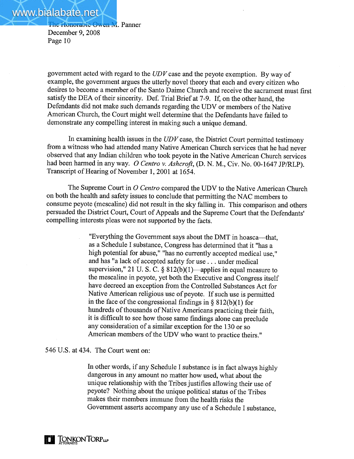government acted with regard to the  $UDV$  case and the peyote exemption. By way of example, the government argues the utterly novel theory that each and every citizen who desires to become a member of the Santo Daime Church and receive the sacrament must first satisfy the DEA of their sincerity. Def. Trial Brief at 7-9. If, on the other hand, the Defendants did not make such demands regarding the UDV or members of the Native American Church, the Court might well determine that the Defendants have failed to demonstrate any compelling interest in making such a unique demand.

In examining health issues in the  $UDV$  case, the District Court permitted testimony from a witness who had attended many Native American Church services that he had never observed that any Indian children who took peyote in the Native American Church services had been harmed in any way. O Centro v. Ashcroft, (D. N. M., Civ. No. 00-1647 JP/RLP). Transcript of Hearing of November 1, 2001 at 1654.

The Supreme Court in  $O$  Centro compared the UDV to the Native American Church on both the health and safety issues to conclude that permitting the NAC members to consume peyote (mescaline) did not result in the sky falling in. This-comparison and others persuaded the District Court, Court of Appeals and the Supreme Court that the Defendants' compelling interests pleas were not supported by the facts.

> "Everything the Government says about the DMT in hoasca—that, as a Schedule I substance, Congress has determined that it "has a high potential for abuse," "has no currently accepted medical use," and has "a lack of accepted safety for use. . . under medical supervision," 21 U.S.C. §  $812(b)(1)$ —applies in equal measure to the mescaline in peyote, yet both the Executive and Congress itself have decreed an exception from the Controlled Substances Act for Native American religious use of peyote. If such use is permitted in the face of the congressional findings in  $\S 812(b)(1)$  for hundreds of thousands of Native Americans practicing their faith, it is diffcult to see how those same findings alone can preclude any consideration of a similar exception for the 130 or so American members of the UDV who want to practice theirs."

546 U.S. at 434. The Court went on:

In other words, if any Schedule I substance is in fact always highly dangerous in any amount no matter how used, what about the unique relationship with the Tribes justifies allowing their use of peyote? Nothing about the unique political status of the Tribes makes their members immune from the health risks the Government asserts accompany any use of a Schedule I substance.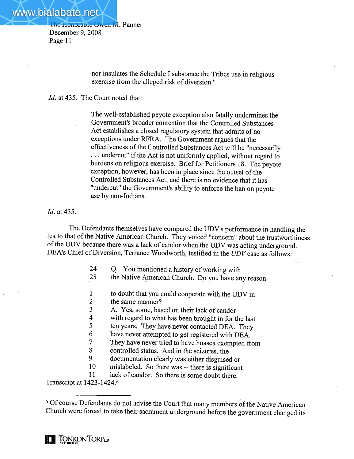> nor insulates the Schedule I substance the Tribes use in religious exercise from the alleged risk of diversion."

Id. at 435. The Court noted that:

The well-established peyote exception also fatally undermines the Governent's broader contention that the Controlled Substances Act establishes a closed regulatory system that admits of no exceptions under RFRA. The Government argues that the effectiveness of the Controlled Substances Act will be "necessarily . . . undercut" if the Act is not uniformly applied, without regard to burdens on religious exercise. Brief for Petitioners 18. The peyote exception, however, has been in place since the outset of the Controlled Substances Act, and there is no evidence that it has "undercut" the Government's ability to enforce the ban on peyote use by non-Indians.

# Id. at 435.

The Defendants themselves have compared the UDV's performance in handling the tea to that of the Native American Church. They voiced "concern" about the trustworthiness ofthe UDV because there was a lack of candor when the UDV was acting underground. DEA's Chief of Diversion, Terrance Woodworth, testified in the UDV case as follows:

- 24 Q. You mentioned a history of working with
- 25 the Native American Church. Do you have any reason
- 1 to doubt that you could cooperate with the UDV in
- 2 the same manner?
- 3 A. Yes, some, based on their lack of candor
- 4 with regard to what has been brought in for the last
- 5 ten years. They have never contacted DEA. They
- 6 have never attempted to get registered with DEA.
- 7 They have never tried to have hoasca exempted from
- 8 controlled status. And in the seizures, the
- 9 documentation clearly was either disguised or
- 10 mislabeled. So there was -- there is significant
- 11 lack of candor. So there is some doubt there.

Transcript at 1423-1424.6

<sup>&</sup>lt;sup>6</sup> Of course Defendants do not advise the Court that many members of the Native American Church were forced to take their sacrament underground before the government changed its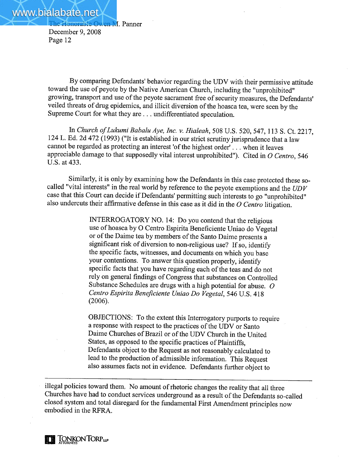By comparing Defendants' behavior regarding the UDV with their permissive attitude toward the use of peyote by the Native American Church, including the "unprohibited" growing, transport and use of the peyote sacrament free of security measures, the Defendants' veiled threats of drug epidemics, and illicit diversion of the hoasca tea, were seen by the Supreme Court for what they are . . . undifferentiated speculation.

In Church of Lukumi Babalu Aye, Inc. v. Hialeah, 508 U.S. 520, 547, 113 S. Ct. 2217, 124 L. Ed. 2d 472 (1993) ("It is established in our strict scrutiny jurisprudence that a law cannot be regarded as protecting an interest 'of the highest order' . . . when it leaves appreciable damage to that supposedly vital interest unprohibited"). Cited in  $O$  Centro, 546 U.S. at 433.

Similarly, it is only by examining how the Defendants in this case protected these socalled "vital interests" in the real world by reference to the peyote exemptions and the UDV case that this Court can decide if Defendants' permitting such interests to go "unprohibited" also undercuts their affirmative defense in this case as it did in the  $O$  Centro litigation.

> INTERROGATORY NO. 14: Do you contend that the religious use of hoasca by O Centro Espirita Beneficiente Uniao do Vegetal or of the Daime tea by members of the Santo Daime presents a significant risk of diversion to non-religious use? If so, identify the specific facts, witnesses, and documents on which you base your contentions. To answer this question properly, identify specific facts that you have regarding each of the teas and do not rely on general findings of Congress that substances on Controlled Substance Schedules are drugs with a high potential for abuse.  $O$ Centro Espirita Beneficiente Uniao Do Vegetal, 546 U.S. 418 (2006).

> OBJECTIONS: To the extent this Interrogatory purports to require a response with respect to the practices of the UDV or Santo Daime Churches of Brazil or of the UDV Church in the United States, as opposed to the specific practices of Plaintiffs, Defendants object to the Request as not reasonably calculated to lead to the production of admissible information. This Request also assumes facts not in evidence. Defendants further object to

ilegal policies toward them, No amount of rhetoric changes the reality that all three Churches have had to conduct services underground as a result of the Defendants so-called closed system and total disregard for the fundamental First Amendment principles now embodied in the RFRA.

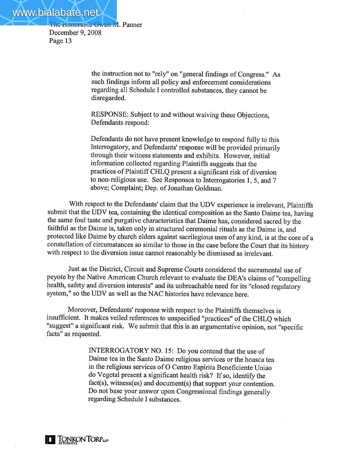The Honorable Owen M. Panner

December 9, 2008 Page 13

> the instruction not to "rely" on "general findings of Congress." As such findings inform all policy and enforcement considerations regarding all Schedule I controlled substances, they cannot be disregarded.

RESPONSE: Subject to and without waiving these Objections, Defendants respond:

Defendants do not have present knowledge to respond fully to this Interrogatory, and Defendants' response will be provided primarily through their witness statements and exhibits. However, initial information collected regarding Plaintiffs suggests that the practices of Plaintiff CHLQ present a significant risk of diversion to non-religious use. See Responses to Interrogatories 1,5, and 7 above; Complaint; Dep. of Jonathan Goldman.

With respect to the Defendants' claim that the UDV experience is irrelevant, Plaintiffs submit that the UDV tea, containing the identical composition as the Santo Daime tea, having the same foul taste and purgative characteristics that Daime has, considered sacred by the faithful as the Daime is, taken only in structured ceremonial rituals as the Daime is, and protected like Daime by church elders against sacrilegious uses of any kind, is at the core of a constellation of circumstances so similar to those in the case before the Court that its history with respect to the diversion issue cannot reasonably be dismissed as irrelevant.

Just as the District, Circuit and Supreme Courts considered the sacramental use of peyote by the Native American Church relevant to evaluate the DEA's claims of "compelling health, safety and diversion interests" and its unbreachable need for its "closed regulatory system," so the UDV as well as the NAC histories have relevance here.

Moreover, Defendants' response with respect to the Plaintiffs themselves is insufficient. It makes veiled references to unspecified "practices" of the CHLQ which "suggest" a significant risk. We submit that this is an argumentative opinion, not "specific facts" as requested.

> INTERROGATORY NO. 15: Do you contend that the use of Daime tea in the Santo Daime religious services or the hoasca tea in the religious services of 0 Centro Espirita Beneficiente Uniao do Vegetal present a significant health risk? If so, identify the fact(s), witness(es) and document(s) that support your contention. Do not base your answer upon Congressional findings generally regarding Schedule I substances.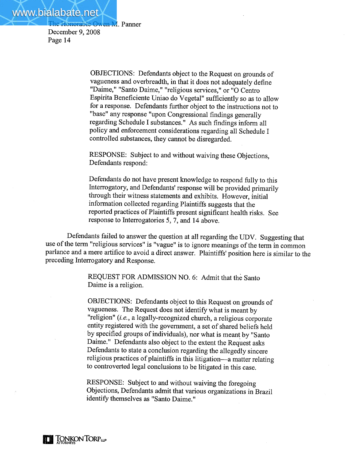> OBJECTIONS: Defendants object to the Request on grounds of vagueness and overbreadth, in that it does not adequately define "Daime," "Santo Daime," "religious services," or "0 Centro Espirita Beneficiente Uniao do Vegetal" sufficiently so as to allow for a response. Defendants further object to the instructions not to "base" any response "upon Congressional findings generally regarding Schedule I substances." As such findings inform all policy and enforcement considerations regarding all Schedule I controlled substances, they cannot be disregarded.

RESPONSE: Subject to and without waiving these Objections, Defendants respond:

Defendants do not have present knowledge to respond fully to this Interrogatory, and Defendants' response will be provided primarily through their witness statements and exhibits. However, initial information collected regarding Plaintiffs suggests that the reported practices of Plaintiffs present significant health risks. See response to Interrogatories 5, 7, and 14 above.

Defendants failed to answer the question at all regarding the UDV. Suggesting that use of the term "religious services" is "vague" is to ignore meanings of the term in common parlance and a mere artifice to avoid a direct answer. Plaintiffs' position here is similar to the preceding Interrogatory and Response.

> REQUEST FOR ADMISSION NO.6: Admit that thè Santo Daime is a religion.

OBJECTIONS: Defendants object to this Request on grounds of vagueness. The Request does not identify what is meant by "religion" (i.e., a legally-recognized church, a religious corporate entity registered with the governent, a set of shared beliefs held by specified groups of individuals), nor what is meant by "Santo Daime." Defendants also object to the extent the Request asks Defendants to state a conclusion regarding the allegedly sincere religious practices of plaintiffs in this litigation-a matter relating to controverted legal conclusions to be litigated in this case.

RESPONSE: Subject to and without waiving the foregoing Objections, Defendants admit that various organizations in Brazil identify themselves as "Santo Daime."